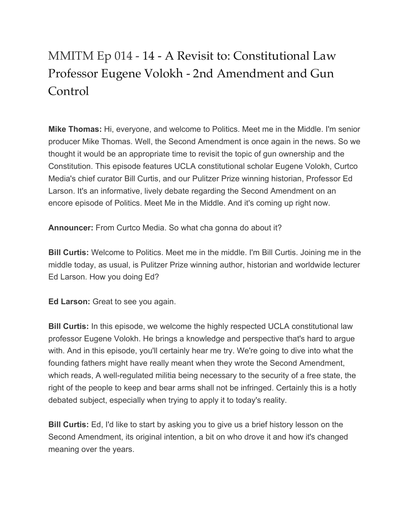## MMITM Ep 014 - 14 - A Revisit to: Constitutional Law Professor Eugene Volokh - 2nd Amendment and Gun Control

**Mike Thomas:** Hi, everyone, and welcome to Politics. Meet me in the Middle. I'm senior producer Mike Thomas. Well, the Second Amendment is once again in the news. So we thought it would be an appropriate time to revisit the topic of gun ownership and the Constitution. This episode features UCLA constitutional scholar Eugene Volokh, Curtco Media's chief curator Bill Curtis, and our Pulitzer Prize winning historian, Professor Ed Larson. It's an informative, lively debate regarding the Second Amendment on an encore episode of Politics. Meet Me in the Middle. And it's coming up right now.

**Announcer:** From Curtco Media. So what cha gonna do about it?

**Bill Curtis:** Welcome to Politics. Meet me in the middle. I'm Bill Curtis. Joining me in the middle today, as usual, is Pulitzer Prize winning author, historian and worldwide lecturer Ed Larson. How you doing Ed?

**Ed Larson:** Great to see you again.

**Bill Curtis:** In this episode, we welcome the highly respected UCLA constitutional law professor Eugene Volokh. He brings a knowledge and perspective that's hard to argue with. And in this episode, you'll certainly hear me try. We're going to dive into what the founding fathers might have really meant when they wrote the Second Amendment, which reads, A well-regulated militia being necessary to the security of a free state, the right of the people to keep and bear arms shall not be infringed. Certainly this is a hotly debated subject, especially when trying to apply it to today's reality.

**Bill Curtis:** Ed, I'd like to start by asking you to give us a brief history lesson on the Second Amendment, its original intention, a bit on who drove it and how it's changed meaning over the years.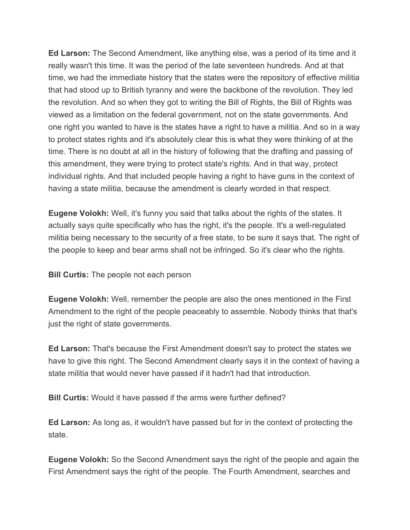**Ed Larson:** The Second Amendment, like anything else, was a period of its time and it really wasn't this time. It was the period of the late seventeen hundreds. And at that time, we had the immediate history that the states were the repository of effective militia that had stood up to British tyranny and were the backbone of the revolution. They led the revolution. And so when they got to writing the Bill of Rights, the Bill of Rights was viewed as a limitation on the federal government, not on the state governments. And one right you wanted to have is the states have a right to have a militia. And so in a way to protect states rights and it's absolutely clear this is what they were thinking of at the time. There is no doubt at all in the history of following that the drafting and passing of this amendment, they were trying to protect state's rights. And in that way, protect individual rights. And that included people having a right to have guns in the context of having a state militia, because the amendment is clearly worded in that respect.

**Eugene Volokh:** Well, it's funny you said that talks about the rights of the states. It actually says quite specifically who has the right, it's the people. It's a well-regulated militia being necessary to the security of a free state, to be sure it says that. The right of the people to keep and bear arms shall not be infringed. So it's clear who the rights.

**Bill Curtis:** The people not each person

**Eugene Volokh:** Well, remember the people are also the ones mentioned in the First Amendment to the right of the people peaceably to assemble. Nobody thinks that that's just the right of state governments.

**Ed Larson:** That's because the First Amendment doesn't say to protect the states we have to give this right. The Second Amendment clearly says it in the context of having a state militia that would never have passed if it hadn't had that introduction.

**Bill Curtis:** Would it have passed if the arms were further defined?

**Ed Larson:** As long as, it wouldn't have passed but for in the context of protecting the state.

**Eugene Volokh:** So the Second Amendment says the right of the people and again the First Amendment says the right of the people. The Fourth Amendment, searches and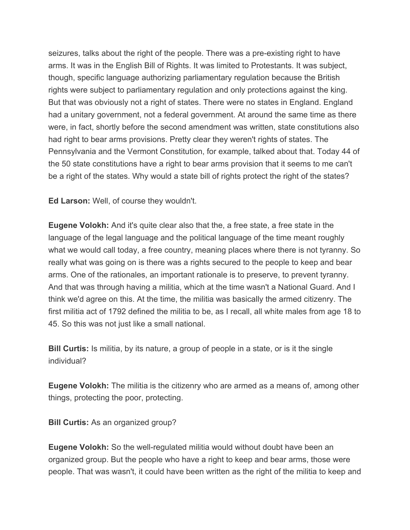seizures, talks about the right of the people. There was a pre-existing right to have arms. It was in the English Bill of Rights. It was limited to Protestants. It was subject, though, specific language authorizing parliamentary regulation because the British rights were subject to parliamentary regulation and only protections against the king. But that was obviously not a right of states. There were no states in England. England had a unitary government, not a federal government. At around the same time as there were, in fact, shortly before the second amendment was written, state constitutions also had right to bear arms provisions. Pretty clear they weren't rights of states. The Pennsylvania and the Vermont Constitution, for example, talked about that. Today 44 of the 50 state constitutions have a right to bear arms provision that it seems to me can't be a right of the states. Why would a state bill of rights protect the right of the states?

**Ed Larson:** Well, of course they wouldn't.

**Eugene Volokh:** And it's quite clear also that the, a free state, a free state in the language of the legal language and the political language of the time meant roughly what we would call today, a free country, meaning places where there is not tyranny. So really what was going on is there was a rights secured to the people to keep and bear arms. One of the rationales, an important rationale is to preserve, to prevent tyranny. And that was through having a militia, which at the time wasn't a National Guard. And I think we'd agree on this. At the time, the militia was basically the armed citizenry. The first militia act of 1792 defined the militia to be, as I recall, all white males from age 18 to 45. So this was not just like a small national.

**Bill Curtis:** Is militia, by its nature, a group of people in a state, or is it the single individual?

**Eugene Volokh:** The militia is the citizenry who are armed as a means of, among other things, protecting the poor, protecting.

**Bill Curtis:** As an organized group?

**Eugene Volokh:** So the well-regulated militia would without doubt have been an organized group. But the people who have a right to keep and bear arms, those were people. That was wasn't, it could have been written as the right of the militia to keep and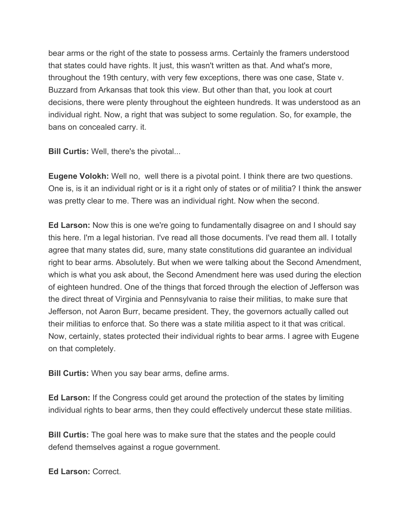bear arms or the right of the state to possess arms. Certainly the framers understood that states could have rights. It just, this wasn't written as that. And what's more, throughout the 19th century, with very few exceptions, there was one case, State v. Buzzard from Arkansas that took this view. But other than that, you look at court decisions, there were plenty throughout the eighteen hundreds. It was understood as an individual right. Now, a right that was subject to some regulation. So, for example, the bans on concealed carry. it.

**Bill Curtis:** Well, there's the pivotal...

**Eugene Volokh:** Well no, well there is a pivotal point. I think there are two questions. One is, is it an individual right or is it a right only of states or of militia? I think the answer was pretty clear to me. There was an individual right. Now when the second.

**Ed Larson:** Now this is one we're going to fundamentally disagree on and I should say this here. I'm a legal historian. I've read all those documents. I've read them all. I totally agree that many states did, sure, many state constitutions did guarantee an individual right to bear arms. Absolutely. But when we were talking about the Second Amendment, which is what you ask about, the Second Amendment here was used during the election of eighteen hundred. One of the things that forced through the election of Jefferson was the direct threat of Virginia and Pennsylvania to raise their militias, to make sure that Jefferson, not Aaron Burr, became president. They, the governors actually called out their militias to enforce that. So there was a state militia aspect to it that was critical. Now, certainly, states protected their individual rights to bear arms. I agree with Eugene on that completely.

**Bill Curtis:** When you say bear arms, define arms.

**Ed Larson:** If the Congress could get around the protection of the states by limiting individual rights to bear arms, then they could effectively undercut these state militias.

**Bill Curtis:** The goal here was to make sure that the states and the people could defend themselves against a rogue government.

**Ed Larson:** Correct.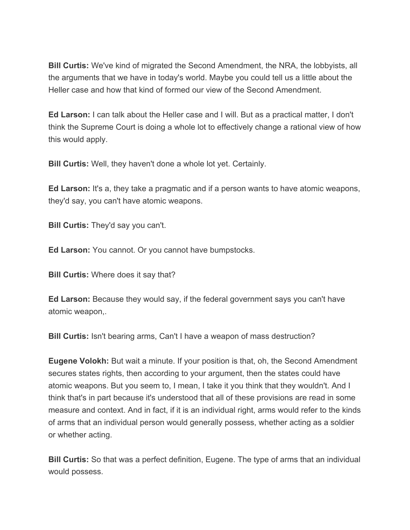**Bill Curtis:** We've kind of migrated the Second Amendment, the NRA, the lobbyists, all the arguments that we have in today's world. Maybe you could tell us a little about the Heller case and how that kind of formed our view of the Second Amendment.

**Ed Larson:** I can talk about the Heller case and I will. But as a practical matter, I don't think the Supreme Court is doing a whole lot to effectively change a rational view of how this would apply.

**Bill Curtis:** Well, they haven't done a whole lot yet. Certainly.

**Ed Larson:** It's a, they take a pragmatic and if a person wants to have atomic weapons, they'd say, you can't have atomic weapons.

**Bill Curtis:** They'd say you can't.

**Ed Larson:** You cannot. Or you cannot have bumpstocks.

**Bill Curtis:** Where does it say that?

**Ed Larson:** Because they would say, if the federal government says you can't have atomic weapon,.

**Bill Curtis:** Isn't bearing arms, Can't I have a weapon of mass destruction?

**Eugene Volokh:** But wait a minute. If your position is that, oh, the Second Amendment secures states rights, then according to your argument, then the states could have atomic weapons. But you seem to, I mean, I take it you think that they wouldn't. And I think that's in part because it's understood that all of these provisions are read in some measure and context. And in fact, if it is an individual right, arms would refer to the kinds of arms that an individual person would generally possess, whether acting as a soldier or whether acting.

**Bill Curtis:** So that was a perfect definition, Eugene. The type of arms that an individual would possess.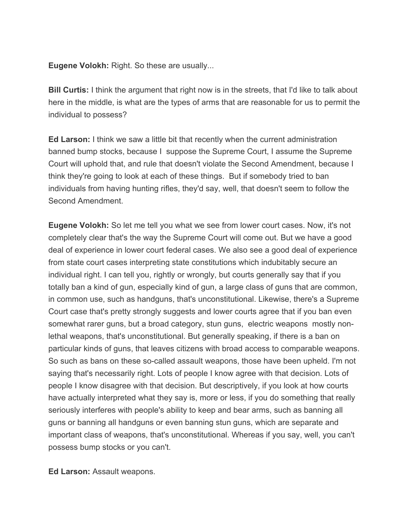**Eugene Volokh:** Right. So these are usually...

**Bill Curtis:** I think the argument that right now is in the streets, that I'd like to talk about here in the middle, is what are the types of arms that are reasonable for us to permit the individual to possess?

**Ed Larson:** I think we saw a little bit that recently when the current administration banned bump stocks, because I suppose the Supreme Court, I assume the Supreme Court will uphold that, and rule that doesn't violate the Second Amendment, because I think they're going to look at each of these things. But if somebody tried to ban individuals from having hunting rifles, they'd say, well, that doesn't seem to follow the Second Amendment.

**Eugene Volokh:** So let me tell you what we see from lower court cases. Now, it's not completely clear that's the way the Supreme Court will come out. But we have a good deal of experience in lower court federal cases. We also see a good deal of experience from state court cases interpreting state constitutions which indubitably secure an individual right. I can tell you, rightly or wrongly, but courts generally say that if you totally ban a kind of gun, especially kind of gun, a large class of guns that are common, in common use, such as handguns, that's unconstitutional. Likewise, there's a Supreme Court case that's pretty strongly suggests and lower courts agree that if you ban even somewhat rarer guns, but a broad category, stun guns, electric weapons mostly nonlethal weapons, that's unconstitutional. But generally speaking, if there is a ban on particular kinds of guns, that leaves citizens with broad access to comparable weapons. So such as bans on these so-called assault weapons, those have been upheld. I'm not saying that's necessarily right. Lots of people I know agree with that decision. Lots of people I know disagree with that decision. But descriptively, if you look at how courts have actually interpreted what they say is, more or less, if you do something that really seriously interferes with people's ability to keep and bear arms, such as banning all guns or banning all handguns or even banning stun guns, which are separate and important class of weapons, that's unconstitutional. Whereas if you say, well, you can't possess bump stocks or you can't.

**Ed Larson:** Assault weapons.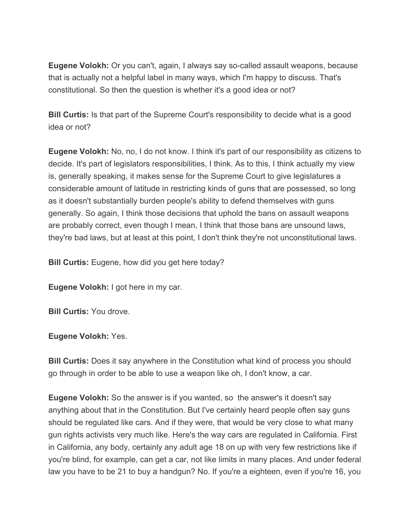**Eugene Volokh:** Or you can't, again, I always say so-called assault weapons, because that is actually not a helpful label in many ways, which I'm happy to discuss. That's constitutional. So then the question is whether it's a good idea or not?

**Bill Curtis:** Is that part of the Supreme Court's responsibility to decide what is a good idea or not?

**Eugene Volokh:** No, no, I do not know. I think it's part of our responsibility as citizens to decide. It's part of legislators responsibilities, I think. As to this, I think actually my view is, generally speaking, it makes sense for the Supreme Court to give legislatures a considerable amount of latitude in restricting kinds of guns that are possessed, so long as it doesn't substantially burden people's ability to defend themselves with guns generally. So again, I think those decisions that uphold the bans on assault weapons are probably correct, even though I mean, I think that those bans are unsound laws, they're bad laws, but at least at this point, I don't think they're not unconstitutional laws.

**Bill Curtis:** Eugene, how did you get here today?

**Eugene Volokh:** I got here in my car.

**Bill Curtis:** You drove.

**Eugene Volokh:** Yes.

**Bill Curtis:** Does it say anywhere in the Constitution what kind of process you should go through in order to be able to use a weapon like oh, I don't know, a car.

**Eugene Volokh:** So the answer is if you wanted, so the answer's it doesn't say anything about that in the Constitution. But I've certainly heard people often say guns should be regulated like cars. And if they were, that would be very close to what many gun rights activists very much like. Here's the way cars are regulated in California. First in California, any body, certainly any adult age 18 on up with very few restrictions like if you're blind, for example, can get a car, not like limits in many places. And under federal law you have to be 21 to buy a handgun? No. If you're a eighteen, even if you're 16, you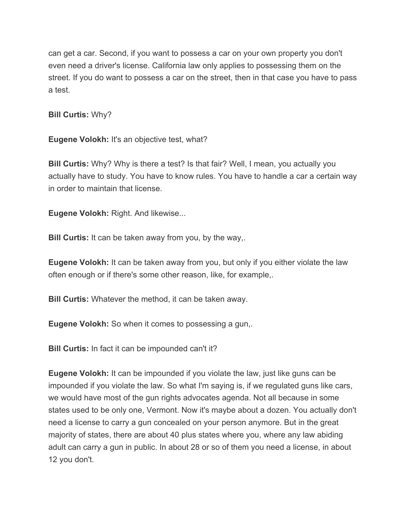can get a car. Second, if you want to possess a car on your own property you don't even need a driver's license. California law only applies to possessing them on the street. If you do want to possess a car on the street, then in that case you have to pass a test.

**Bill Curtis:** Why?

**Eugene Volokh:** It's an objective test, what?

**Bill Curtis:** Why? Why is there a test? Is that fair? Well, I mean, you actually you actually have to study. You have to know rules. You have to handle a car a certain way in order to maintain that license.

**Eugene Volokh:** Right. And likewise...

**Bill Curtis:** It can be taken away from you, by the way,.

**Eugene Volokh:** It can be taken away from you, but only if you either violate the law often enough or if there's some other reason, like, for example,.

**Bill Curtis:** Whatever the method, it can be taken away.

**Eugene Volokh:** So when it comes to possessing a gun,.

**Bill Curtis:** In fact it can be impounded can't it?

**Eugene Volokh:** It can be impounded if you violate the law, just like guns can be impounded if you violate the law. So what I'm saying is, if we regulated guns like cars, we would have most of the gun rights advocates agenda. Not all because in some states used to be only one, Vermont. Now it's maybe about a dozen. You actually don't need a license to carry a gun concealed on your person anymore. But in the great majority of states, there are about 40 plus states where you, where any law abiding adult can carry a gun in public. In about 28 or so of them you need a license, in about 12 you don't.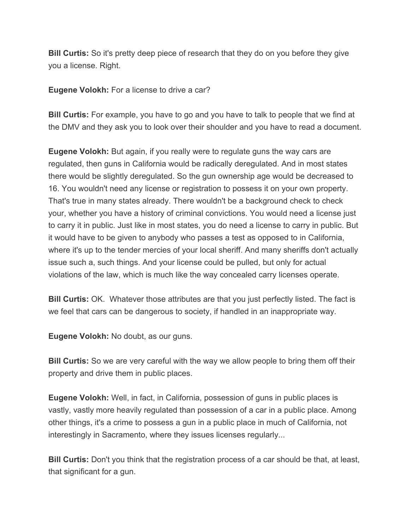**Bill Curtis:** So it's pretty deep piece of research that they do on you before they give you a license. Right.

**Eugene Volokh:** For a license to drive a car?

**Bill Curtis:** For example, you have to go and you have to talk to people that we find at the DMV and they ask you to look over their shoulder and you have to read a document.

**Eugene Volokh:** But again, if you really were to regulate guns the way cars are regulated, then guns in California would be radically deregulated. And in most states there would be slightly deregulated. So the gun ownership age would be decreased to 16. You wouldn't need any license or registration to possess it on your own property. That's true in many states already. There wouldn't be a background check to check your, whether you have a history of criminal convictions. You would need a license just to carry it in public. Just like in most states, you do need a license to carry in public. But it would have to be given to anybody who passes a test as opposed to in California, where it's up to the tender mercies of your local sheriff. And many sheriffs don't actually issue such a, such things. And your license could be pulled, but only for actual violations of the law, which is much like the way concealed carry licenses operate.

**Bill Curtis:** OK. Whatever those attributes are that you just perfectly listed. The fact is we feel that cars can be dangerous to society, if handled in an inappropriate way.

**Eugene Volokh:** No doubt, as our guns.

**Bill Curtis:** So we are very careful with the way we allow people to bring them off their property and drive them in public places.

**Eugene Volokh:** Well, in fact, in California, possession of guns in public places is vastly, vastly more heavily regulated than possession of a car in a public place. Among other things, it's a crime to possess a gun in a public place in much of California, not interestingly in Sacramento, where they issues licenses regularly...

**Bill Curtis:** Don't you think that the registration process of a car should be that, at least, that significant for a gun.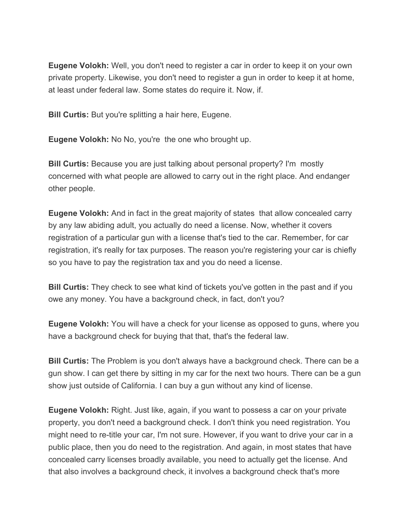**Eugene Volokh:** Well, you don't need to register a car in order to keep it on your own private property. Likewise, you don't need to register a gun in order to keep it at home, at least under federal law. Some states do require it. Now, if.

**Bill Curtis:** But you're splitting a hair here, Eugene.

**Eugene Volokh:** No No, you're the one who brought up.

**Bill Curtis:** Because you are just talking about personal property? I'm mostly concerned with what people are allowed to carry out in the right place. And endanger other people.

**Eugene Volokh:** And in fact in the great majority of states that allow concealed carry by any law abiding adult, you actually do need a license. Now, whether it covers registration of a particular gun with a license that's tied to the car. Remember, for car registration, it's really for tax purposes. The reason you're registering your car is chiefly so you have to pay the registration tax and you do need a license.

**Bill Curtis:** They check to see what kind of tickets you've gotten in the past and if you owe any money. You have a background check, in fact, don't you?

**Eugene Volokh:** You will have a check for your license as opposed to guns, where you have a background check for buying that that, that's the federal law.

**Bill Curtis:** The Problem is you don't always have a background check. There can be a gun show. I can get there by sitting in my car for the next two hours. There can be a gun show just outside of California. I can buy a gun without any kind of license.

**Eugene Volokh:** Right. Just like, again, if you want to possess a car on your private property, you don't need a background check. I don't think you need registration. You might need to re-title your car, I'm not sure. However, if you want to drive your car in a public place, then you do need to the registration. And again, in most states that have concealed carry licenses broadly available, you need to actually get the license. And that also involves a background check, it involves a background check that's more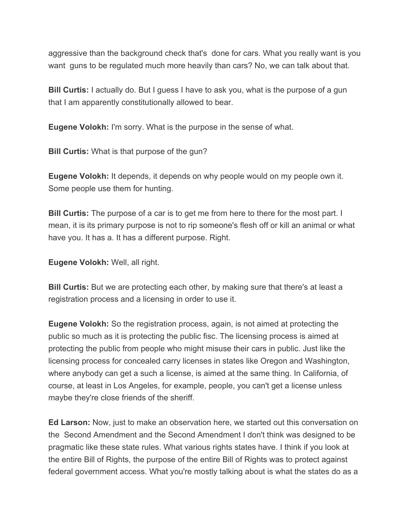aggressive than the background check that's done for cars. What you really want is you want guns to be regulated much more heavily than cars? No, we can talk about that.

**Bill Curtis:** I actually do. But I guess I have to ask you, what is the purpose of a gun that I am apparently constitutionally allowed to bear.

**Eugene Volokh:** I'm sorry. What is the purpose in the sense of what.

**Bill Curtis:** What is that purpose of the gun?

**Eugene Volokh:** It depends, it depends on why people would on my people own it. Some people use them for hunting.

**Bill Curtis:** The purpose of a car is to get me from here to there for the most part. I mean, it is its primary purpose is not to rip someone's flesh off or kill an animal or what have you. It has a. It has a different purpose. Right.

**Eugene Volokh:** Well, all right.

**Bill Curtis:** But we are protecting each other, by making sure that there's at least a registration process and a licensing in order to use it.

**Eugene Volokh:** So the registration process, again, is not aimed at protecting the public so much as it is protecting the public fisc. The licensing process is aimed at protecting the public from people who might misuse their cars in public. Just like the licensing process for concealed carry licenses in states like Oregon and Washington, where anybody can get a such a license, is aimed at the same thing. In California, of course, at least in Los Angeles, for example, people, you can't get a license unless maybe they're close friends of the sheriff.

**Ed Larson:** Now, just to make an observation here, we started out this conversation on the Second Amendment and the Second Amendment I don't think was designed to be pragmatic like these state rules. What various rights states have. I think if you look at the entire Bill of Rights, the purpose of the entire Bill of Rights was to protect against federal government access. What you're mostly talking about is what the states do as a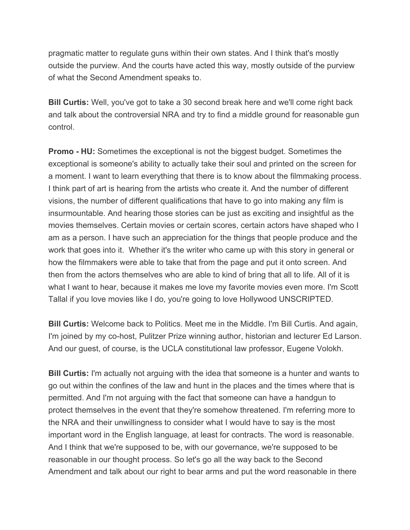pragmatic matter to regulate guns within their own states. And I think that's mostly outside the purview. And the courts have acted this way, mostly outside of the purview of what the Second Amendment speaks to.

**Bill Curtis:** Well, you've got to take a 30 second break here and we'll come right back and talk about the controversial NRA and try to find a middle ground for reasonable gun control.

**Promo - HU:** Sometimes the exceptional is not the biggest budget. Sometimes the exceptional is someone's ability to actually take their soul and printed on the screen for a moment. I want to learn everything that there is to know about the filmmaking process. I think part of art is hearing from the artists who create it. And the number of different visions, the number of different qualifications that have to go into making any film is insurmountable. And hearing those stories can be just as exciting and insightful as the movies themselves. Certain movies or certain scores, certain actors have shaped who I am as a person. I have such an appreciation for the things that people produce and the work that goes into it. Whether it's the writer who came up with this story in general or how the filmmakers were able to take that from the page and put it onto screen. And then from the actors themselves who are able to kind of bring that all to life. All of it is what I want to hear, because it makes me love my favorite movies even more. I'm Scott Tallal if you love movies like I do, you're going to love Hollywood UNSCRIPTED.

**Bill Curtis:** Welcome back to Politics. Meet me in the Middle. I'm Bill Curtis. And again, I'm joined by my co-host, Pulitzer Prize winning author, historian and lecturer Ed Larson. And our guest, of course, is the UCLA constitutional law professor, Eugene Volokh.

**Bill Curtis:** I'm actually not arguing with the idea that someone is a hunter and wants to go out within the confines of the law and hunt in the places and the times where that is permitted. And I'm not arguing with the fact that someone can have a handgun to protect themselves in the event that they're somehow threatened. I'm referring more to the NRA and their unwillingness to consider what I would have to say is the most important word in the English language, at least for contracts. The word is reasonable. And I think that we're supposed to be, with our governance, we're supposed to be reasonable in our thought process. So let's go all the way back to the Second Amendment and talk about our right to bear arms and put the word reasonable in there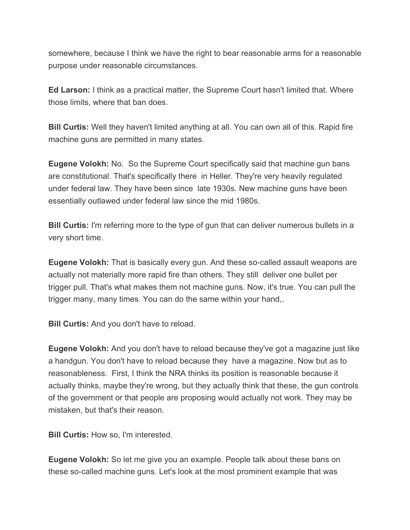somewhere, because I think we have the right to bear reasonable arms for a reasonable purpose under reasonable circumstances.

**Ed Larson:** I think as a practical matter, the Supreme Court hasn't limited that. Where those limits, where that ban does.

**Bill Curtis:** Well they haven't limited anything at all. You can own all of this. Rapid fire machine guns are permitted in many states.

**Eugene Volokh:** No. So the Supreme Court specifically said that machine gun bans are constitutional. That's specifically there in Heller. They're very heavily regulated under federal law. They have been since late 1930s. New machine guns have been essentially outlawed under federal law since the mid 1980s.

**Bill Curtis:** I'm referring more to the type of gun that can deliver numerous bullets in a very short time.

**Eugene Volokh:** That is basically every gun. And these so-called assault weapons are actually not materially more rapid fire than others. They still deliver one bullet per trigger pull. That's what makes them not machine guns. Now, it's true. You can pull the trigger many, many times. You can do the same within your hand,.

**Bill Curtis:** And you don't have to reload.

**Eugene Volokh:** And you don't have to reload because they've got a magazine just like a handgun. You don't have to reload because they have a magazine. Now but as to reasonableness. First, I think the NRA thinks its position is reasonable because it actually thinks, maybe they're wrong, but they actually think that these, the gun controls of the government or that people are proposing would actually not work. They may be mistaken, but that's their reason.

**Bill Curtis:** How so, I'm interested.

**Eugene Volokh:** So let me give you an example. People talk about these bans on these so-called machine guns. Let's look at the most prominent example that was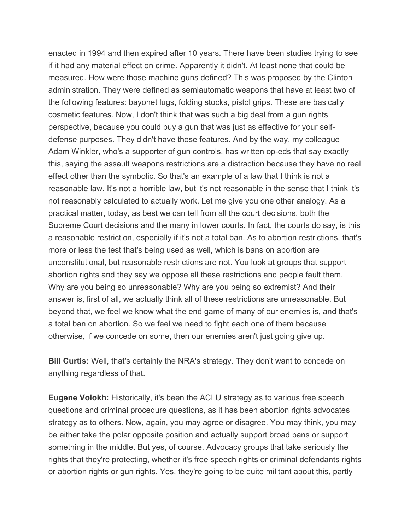enacted in 1994 and then expired after 10 years. There have been studies trying to see if it had any material effect on crime. Apparently it didn't. At least none that could be measured. How were those machine guns defined? This was proposed by the Clinton administration. They were defined as semiautomatic weapons that have at least two of the following features: bayonet lugs, folding stocks, pistol grips. These are basically cosmetic features. Now, I don't think that was such a big deal from a gun rights perspective, because you could buy a gun that was just as effective for your selfdefense purposes. They didn't have those features. And by the way, my colleague Adam Winkler, who's a supporter of gun controls, has written op-eds that say exactly this, saying the assault weapons restrictions are a distraction because they have no real effect other than the symbolic. So that's an example of a law that I think is not a reasonable law. It's not a horrible law, but it's not reasonable in the sense that I think it's not reasonably calculated to actually work. Let me give you one other analogy. As a practical matter, today, as best we can tell from all the court decisions, both the Supreme Court decisions and the many in lower courts. In fact, the courts do say, is this a reasonable restriction, especially if it's not a total ban. As to abortion restrictions, that's more or less the test that's being used as well, which is bans on abortion are unconstitutional, but reasonable restrictions are not. You look at groups that support abortion rights and they say we oppose all these restrictions and people fault them. Why are you being so unreasonable? Why are you being so extremist? And their answer is, first of all, we actually think all of these restrictions are unreasonable. But beyond that, we feel we know what the end game of many of our enemies is, and that's a total ban on abortion. So we feel we need to fight each one of them because otherwise, if we concede on some, then our enemies aren't just going give up.

**Bill Curtis:** Well, that's certainly the NRA's strategy. They don't want to concede on anything regardless of that.

**Eugene Volokh:** Historically, it's been the ACLU strategy as to various free speech questions and criminal procedure questions, as it has been abortion rights advocates strategy as to others. Now, again, you may agree or disagree. You may think, you may be either take the polar opposite position and actually support broad bans or support something in the middle. But yes, of course. Advocacy groups that take seriously the rights that they're protecting, whether it's free speech rights or criminal defendants rights or abortion rights or gun rights. Yes, they're going to be quite militant about this, partly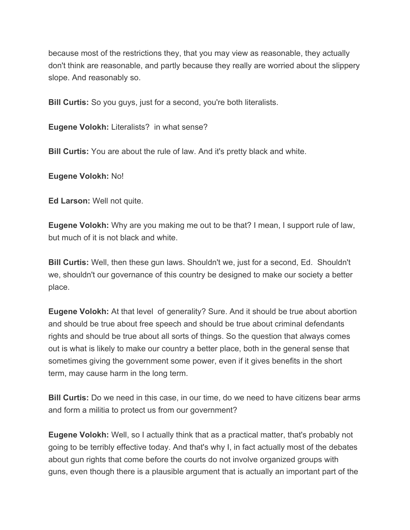because most of the restrictions they, that you may view as reasonable, they actually don't think are reasonable, and partly because they really are worried about the slippery slope. And reasonably so.

**Bill Curtis:** So you guys, just for a second, you're both literalists.

**Eugene Volokh:** Literalists? in what sense?

**Bill Curtis:** You are about the rule of law. And it's pretty black and white.

**Eugene Volokh:** No!

**Ed Larson:** Well not quite.

**Eugene Volokh:** Why are you making me out to be that? I mean, I support rule of law, but much of it is not black and white.

**Bill Curtis:** Well, then these gun laws. Shouldn't we, just for a second, Ed. Shouldn't we, shouldn't our governance of this country be designed to make our society a better place.

**Eugene Volokh:** At that level of generality? Sure. And it should be true about abortion and should be true about free speech and should be true about criminal defendants rights and should be true about all sorts of things. So the question that always comes out is what is likely to make our country a better place, both in the general sense that sometimes giving the government some power, even if it gives benefits in the short term, may cause harm in the long term.

**Bill Curtis:** Do we need in this case, in our time, do we need to have citizens bear arms and form a militia to protect us from our government?

**Eugene Volokh:** Well, so I actually think that as a practical matter, that's probably not going to be terribly effective today. And that's why I, in fact actually most of the debates about gun rights that come before the courts do not involve organized groups with guns, even though there is a plausible argument that is actually an important part of the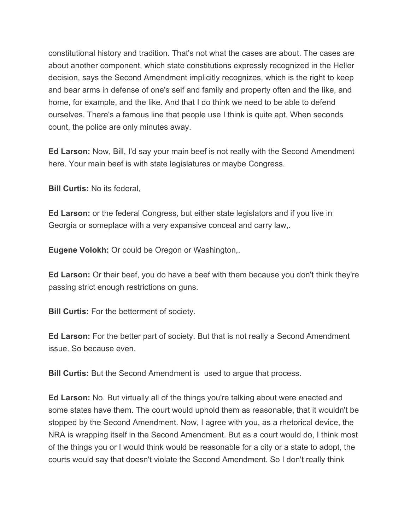constitutional history and tradition. That's not what the cases are about. The cases are about another component, which state constitutions expressly recognized in the Heller decision, says the Second Amendment implicitly recognizes, which is the right to keep and bear arms in defense of one's self and family and property often and the like, and home, for example, and the like. And that I do think we need to be able to defend ourselves. There's a famous line that people use I think is quite apt. When seconds count, the police are only minutes away.

**Ed Larson:** Now, Bill, I'd say your main beef is not really with the Second Amendment here. Your main beef is with state legislatures or maybe Congress.

**Bill Curtis:** No its federal,

**Ed Larson:** or the federal Congress, but either state legislators and if you live in Georgia or someplace with a very expansive conceal and carry law,.

**Eugene Volokh:** Or could be Oregon or Washington,.

**Ed Larson:** Or their beef, you do have a beef with them because you don't think they're passing strict enough restrictions on guns.

**Bill Curtis:** For the betterment of society.

**Ed Larson:** For the better part of society. But that is not really a Second Amendment issue. So because even.

**Bill Curtis:** But the Second Amendment is used to argue that process.

**Ed Larson:** No. But virtually all of the things you're talking about were enacted and some states have them. The court would uphold them as reasonable, that it wouldn't be stopped by the Second Amendment. Now, I agree with you, as a rhetorical device, the NRA is wrapping itself in the Second Amendment. But as a court would do, I think most of the things you or I would think would be reasonable for a city or a state to adopt, the courts would say that doesn't violate the Second Amendment. So I don't really think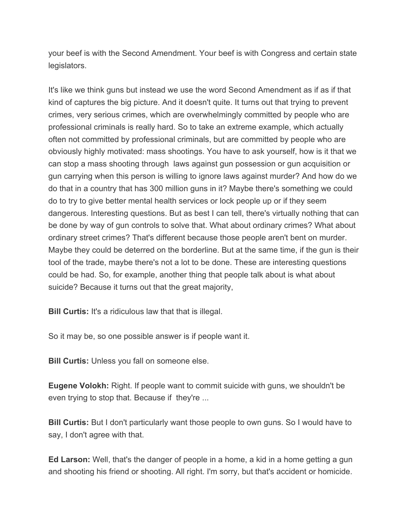your beef is with the Second Amendment. Your beef is with Congress and certain state legislators.

It's like we think guns but instead we use the word Second Amendment as if as if that kind of captures the big picture. And it doesn't quite. It turns out that trying to prevent crimes, very serious crimes, which are overwhelmingly committed by people who are professional criminals is really hard. So to take an extreme example, which actually often not committed by professional criminals, but are committed by people who are obviously highly motivated: mass shootings. You have to ask yourself, how is it that we can stop a mass shooting through laws against gun possession or gun acquisition or gun carrying when this person is willing to ignore laws against murder? And how do we do that in a country that has 300 million guns in it? Maybe there's something we could do to try to give better mental health services or lock people up or if they seem dangerous. Interesting questions. But as best I can tell, there's virtually nothing that can be done by way of gun controls to solve that. What about ordinary crimes? What about ordinary street crimes? That's different because those people aren't bent on murder. Maybe they could be deterred on the borderline. But at the same time, if the gun is their tool of the trade, maybe there's not a lot to be done. These are interesting questions could be had. So, for example, another thing that people talk about is what about suicide? Because it turns out that the great majority,

**Bill Curtis:** It's a ridiculous law that that is illegal.

So it may be, so one possible answer is if people want it.

**Bill Curtis:** Unless you fall on someone else.

**Eugene Volokh:** Right. If people want to commit suicide with guns, we shouldn't be even trying to stop that. Because if they're ...

**Bill Curtis:** But I don't particularly want those people to own guns. So I would have to say, I don't agree with that.

**Ed Larson:** Well, that's the danger of people in a home, a kid in a home getting a gun and shooting his friend or shooting. All right. I'm sorry, but that's accident or homicide.